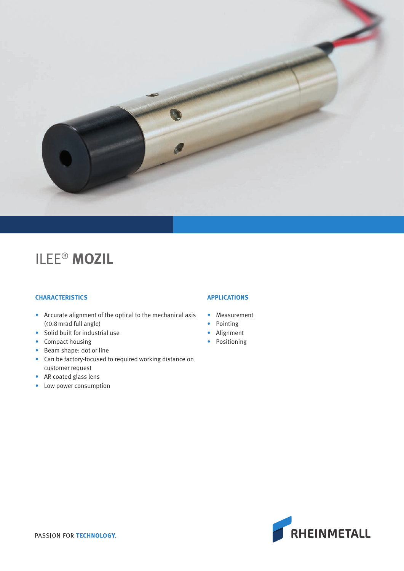

# ILEE® **MOZIL**

## **CHARACTERISTICS**

- Accurate alignment of the optical to the mechanical axis (<0.8mrad full angle)
- Solid built for industrial use
- Compact housing
- Beam shape: dot or line
- Can be factory-focused to required working distance on customer request
- AR coated glass lens
- Low power consumption

### **APPLICATIONS**

- Measurement
- Pointing
- Alignment
- Positioning